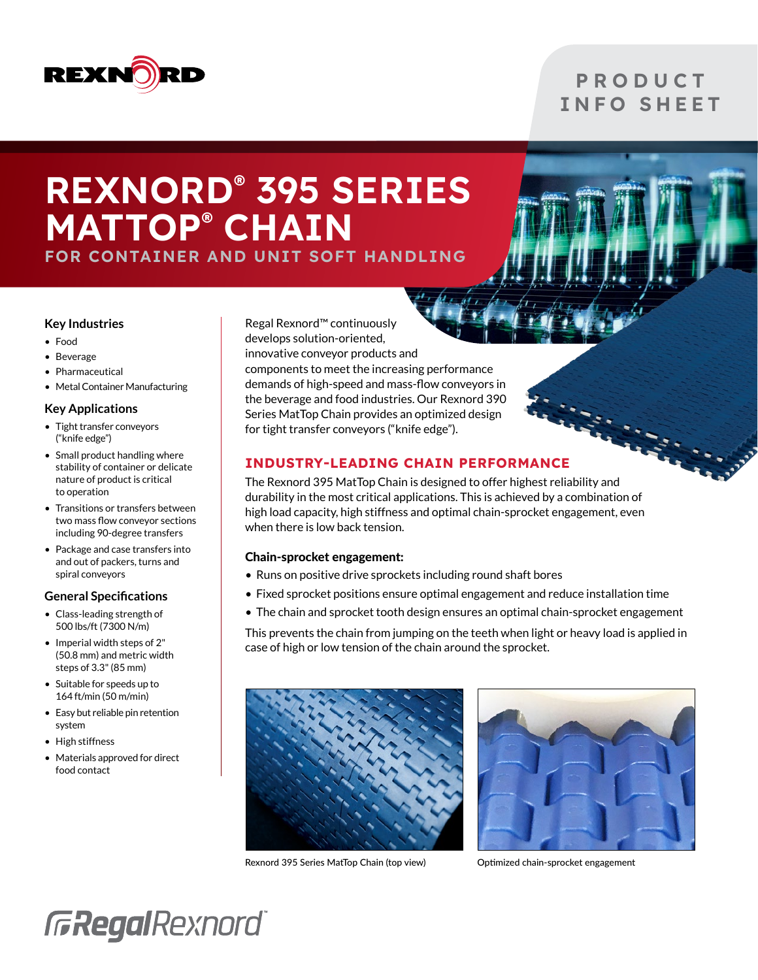

### **P R O D U C T** INFO SHEET

### REXNORD® 395 SERIES MATTOP® CHAIN FOR CONTAINER AND UNIT SOFT HANDLING

### **Key Industries**

- Food
- Beverage
- Pharmaceutical
- Metal Container Manufacturing

### **Key Applications**

- Tight transfer conveyors ("knife edge")
- Small product handling where stability of container or delicate nature of product is critical to operation
- Transitions or transfers between two mass flow conveyor sections including 90-degree transfers
- Package and case transfers into and out of packers, turns and spiral conveyors

### **General Specifications**

- Class-leading strength of 500 lbs/ft (7300 N/m)
- Imperial width steps of 2" (50.8 mm) and metric width steps of 3.3" (85 mm)
- Suitable for speeds up to 164 ft/min (50 m/min)
- Easy but reliable pin retention system
- High stiffness
- Materials approved for direct food contact

Regal Rexnord™ continuously develops solution-oriented, innovative conveyor products and components to meet the increasing performance demands of high-speed and mass-flow conveyors in the beverage and food industries. Our Rexnord 390 Series MatTop Chain provides an optimized design for tight transfer conveyors ("knife edge").

### INDUSTRY-LEADING CHAIN PERFORMANCE

The Rexnord 395 MatTop Chain is designed to offer highest reliability and durability in the most critical applications. This is achieved by a combination of high load capacity, high stiffness and optimal chain-sprocket engagement, even when there is low back tension.

### Chain-sprocket engagement:

- Runs on positive drive sprockets including round shaft bores
- Fixed sprocket positions ensure optimal engagement and reduce installation time
- The chain and sprocket tooth design ensures an optimal chain-sprocket engagement

This prevents the chain from jumping on the teeth when light or heavy load is applied in case of high or low tension of the chain around the sprocket.



Rexnord 395 Series MatTop Chain (top view) Optimized chain-sprocket engagement



## **GRegalRexnord**